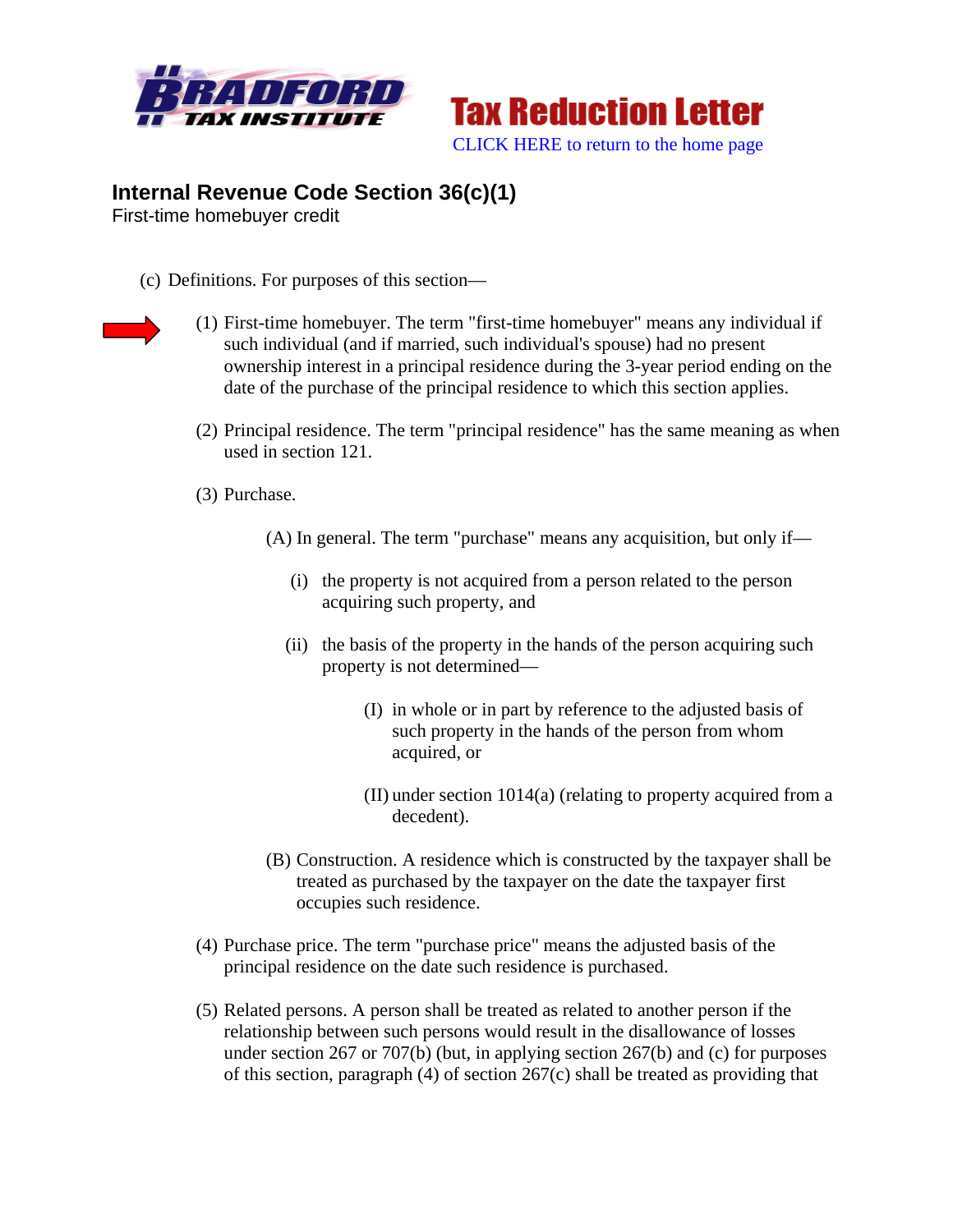



## **Internal Revenue Code Section 36(c)(1)**

First-time homebuyer credit

- (c) Definitions. For purposes of this section—
- 
- (1) First-time homebuyer. The term "first-time homebuyer" means any individual if such individual (and if married, such individual's spouse) had no present ownership interest in a principal residence during the 3-year period ending on the date of the purchase of the principal residence to which this section applies.
- (2) Principal residence. The term "principal residence" has the same meaning as when used in section 121.
- (3) Purchase.
	- (A) In general. The term "purchase" means any acquisition, but only if—
		- (i) the property is not acquired from a person related to the person acquiring such property, and
		- (ii) the basis of the property in the hands of the person acquiring such property is not determined—
			- (I) in whole or in part by reference to the adjusted basis of such property in the hands of the person from whom acquired, or
			- (II) under section 1014(a) (relating to property acquired from a decedent).
	- (B) Construction. A residence which is constructed by the taxpayer shall be treated as purchased by the taxpayer on the date the taxpayer first occupies such residence.
- (4) Purchase price. The term "purchase price" means the adjusted basis of the principal residence on the date such residence is purchased.
- (5) Related persons. A person shall be treated as related to another person if the relationship between such persons would result in the disallowance of losses under section 267 or 707(b) (but, in applying section 267(b) and (c) for purposes of this section, paragraph (4) of section 267(c) shall be treated as providing that